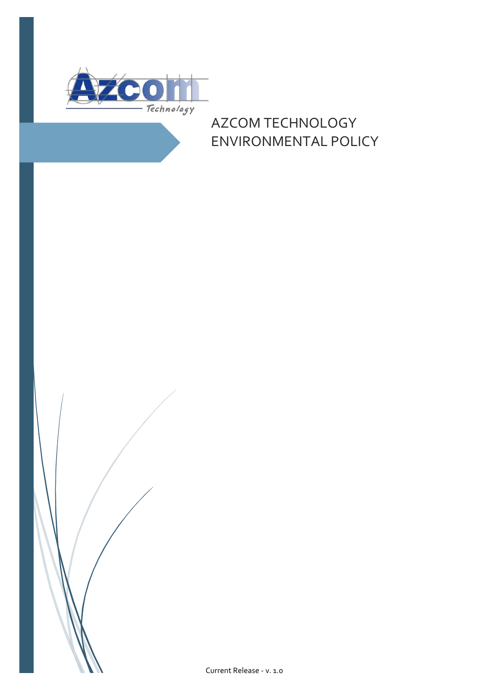

# AZCOM TECHNOLOGY ENVIRONMENTAL POLICY

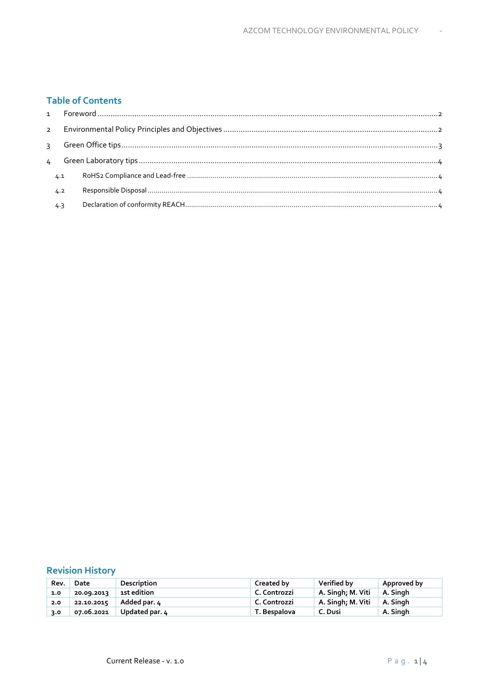# **Table of Contents**

| 4.1 |  |
|-----|--|
| 4.2 |  |
| 4.3 |  |

# **Revision History**

| Rev. | Date       | Description    | Created by   | Verified by                  | Approved by |
|------|------------|----------------|--------------|------------------------------|-------------|
| 1.0  | 20.09.2013 | 1st edition    | C. Controzzi | A. Singh; M. Viti   A. Singh |             |
| 2.0  | 22.10.2015 | Added par. 4   | C. Controzzi | A. Singh; M. Viti            | A. Singh    |
| 3.0  | 07.06.2021 | Updated par. 4 | T. Bespalova | C. Dusi                      | A. Singh    |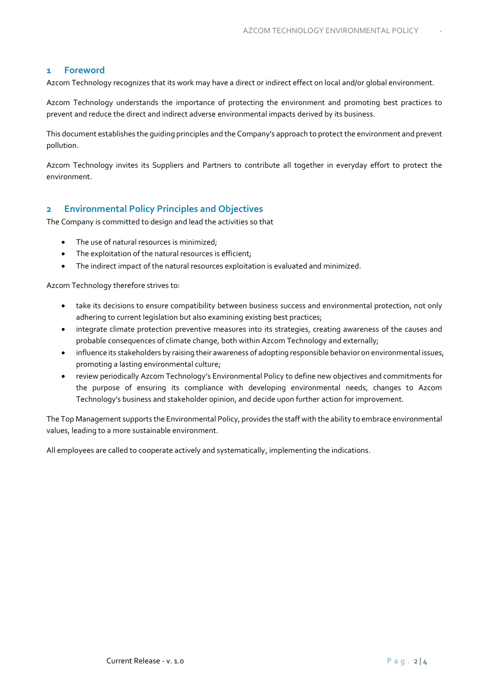# <span id="page-2-0"></span>**1 Foreword**

Azcom Technology recognizes that its work may have a direct or indirect effect on local and/or global environment.

Azcom Technology understands the importance of protecting the environment and promoting best practices to prevent and reduce the direct and indirect adverse environmental impacts derived by its business.

This document establishes the guiding principles and the Company's approach to protect the environment and prevent pollution.

Azcom Technology invites its Suppliers and Partners to contribute all together in everyday effort to protect the environment.

# <span id="page-2-1"></span>**2 Environmental Policy Principles and Objectives**

The Company is committed to design and lead the activities so that

- The use of natural resources is minimized;
- The exploitation of the natural resources is efficient;
- The indirect impact of the natural resources exploitation is evaluated and minimized.

Azcom Technology therefore strives to:

- take its decisions to ensure compatibility between business success and environmental protection, not only adhering to current legislation but also examining existing best practices;
- integrate climate protection preventive measures into its strategies, creating awareness of the causes and probable consequences of climate change, both within Azcom Technology and externally;
- influence its stakeholders by raising their awareness of adopting responsible behavior on environmental issues, promoting a lasting environmental culture;
- review periodically Azcom Technology's Environmental Policy to define new objectives and commitments for the purpose of ensuring its compliance with developing environmental needs, changes to Azcom Technology's business and stakeholder opinion, and decide upon further action for improvement.

The Top Management supports the Environmental Policy, provides the staff with the ability to embrace environmental values, leading to a more sustainable environment.

All employees are called to cooperate actively and systematically, implementing the indications.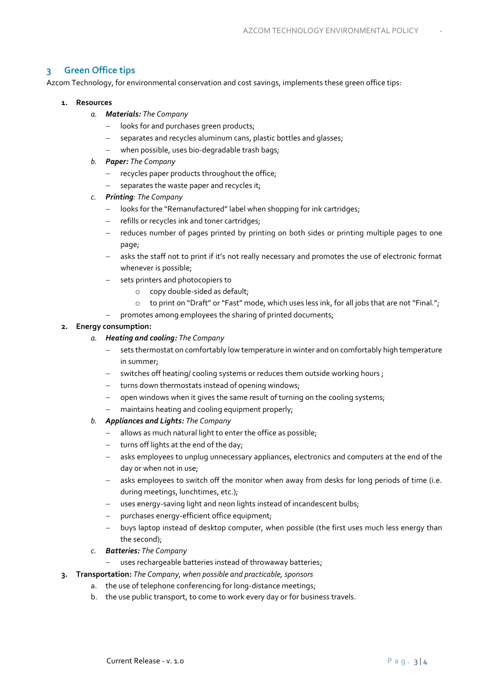# <span id="page-3-0"></span>**3 Green Office tips**

Azcom Technology, for environmental conservation and cost savings, implements these green office tips:

#### **1. Resources**

- *a. Materials: The Company*
	- − looks for and purchases green products;
	- separates and recycles aluminum cans, plastic bottles and glasses;
	- − when possible, uses bio-degradable trash bags;
- *b. Paper: The Company*
	- − recycles paper products throughout the office;
	- − separates the waste paper and recycles it;
- *c. Printing: The Company*
	- − looks for the "Remanufactured" label when shopping for ink cartridges;
	- − refills or recycles ink and toner cartridges;
	- − reduces number of pages printed by printing on both sides or printing multiple pages to one page;
	- − asks the staff not to print if it's not really necessary and promotes the use of electronic format whenever is possible;
	- − sets printers and photocopiers to
		- o copy double-sided as default;
		- o to print on "Draft" or "Fast" mode, which uses less ink, for all jobs that are not "Final.";
	- − promotes among employees the sharing of printed documents;

#### **2. Energy consumption:**

- *a. Heating and cooling: The Company*
	- sets thermostat on comfortably low temperature in winter and on comfortably high temperature in summer;
	- − switches off heating/ cooling systems or reduces them outside working hours ;
	- − turns down thermostats instead of opening windows;
	- − open windows when it gives the same result of turning on the cooling systems;
	- maintains heating and cooling equipment properly;
- *b. Appliances and Lights: The Company*
	- − allows as much natural light to enter the office as possible;
	- − turns off lights at the end of the day;
	- − asks employees to unplug unnecessary appliances, electronics and computers at the end of the day or when not in use;
	- − asks employees to switch off the monitor when away from desks for long periods of time (i.e. during meetings, lunchtimes, etc.);
	- − uses energy-saving light and neon lights instead of incandescent bulbs;
	- purchases energy-efficient office equipment;
	- − buys laptop instead of desktop computer, when possible (the first uses much less energy than the second);
- *c. Batteries: The Company*
	- uses rechargeable batteries instead of throwaway batteries;
- **3. Transportation:** *The Company, when possible and practicable, sponsors*
	- a. the use of telephone conferencing for long-distance meetings;
		- b. the use public transport, to come to work every day or for business travels.